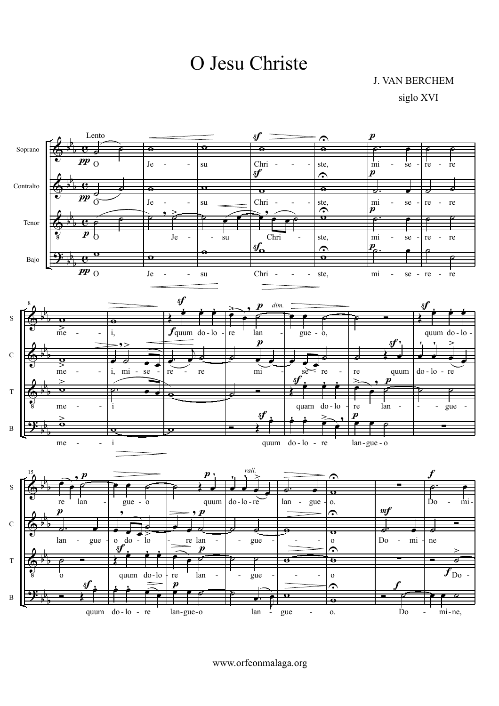O Jesu Christe

**J. VAN BERCHEM** 

siglo XVI



www.orfeonmalaga.org